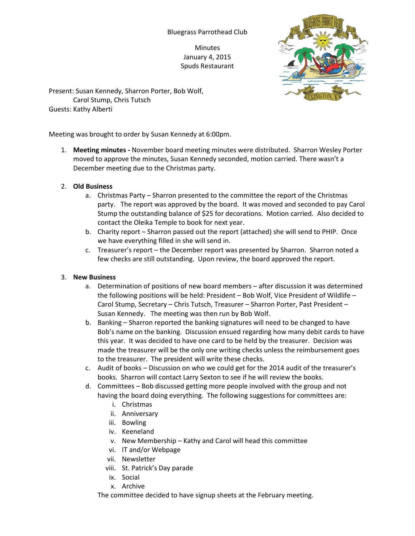## Bluegrass Parrothead Club

Minutes January 4, 2015 Spuds Restaurant



Present: Susan Kennedy, Sharron Porter, Bob Wolf, Carol Stump, Chris Tutsch Guests: Kathy Alberti

Meeting was brought to order by Susan Kennedy at 6:00pm.

1. **Meeting minutes -** November board meeting minutes were distributed. Sharron Wesley Porter moved to approve the minutes, Susan Kennedy seconded, motion carried. There wasn't a December meeting due to the Christmas party.

## 2. **Old Business**

- a. Christmas Party Sharron presented to the committee the report of the Christmas party. The report was approved by the board. It was moved and seconded to pay Carol Stump the outstanding balance of \$25 for decorations. Motion carried. Also decided to contact the Oleika Temple to book for next year.
- b. Charity report Sharron passed out the report (attached) she will send to PHIP. Once we have everything filled in she will send in.
- c. Treasurer's report the December report was presented by Sharron. Sharron noted a few checks are still outstanding. Upon review, the board approved the report.

## 3. **New Business**

- a. Determination of positions of new board members after discussion it was determined the following positions will be held: President – Bob Wolf, Vice President of Wildlife – Carol Stump, Secretary – Chris Tutsch, Treasurer – Sharron Porter, Past President – Susan Kennedy. The meeting was then run by Bob Wolf.
- b. Banking Sharron reported the banking signatures will need to be changed to have Bob's name on the banking. Discussion ensued regarding how many debit cards to have this year. It was decided to have one card to be held by the treasurer. Decision was made the treasurer will be the only one writing checks unless the reimbursement goes to the treasurer. The president will write these checks.
- c. Audit of books Discussion on who we could get for the 2014 audit of the treasurer's books. Sharron will contact Larry Sexton to see if he will review the books.
- d. Committees Bob discussed getting more people involved with the group and not having the board doing everything. The following suggestions for committees are:
	- i. Christmas
	- ii. Anniversary
	- iii. Bowling
	- iv. Keeneland
	- v. New Membership Kathy and Carol will head this committee
	- vi. IT and/or Webpage
	- vii. Newsletter
	- viii. St. Patrick's Day parade
	- ix. Social
	- x. Archive

The committee decided to have signup sheets at the February meeting.